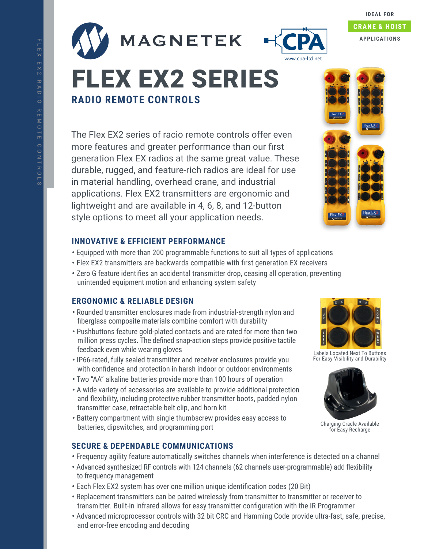



# **IDEAL FOR CRANE & HOIST APPLICATIONS**

# **RADIO REMOTE CONTROLS** FLEX EX2 SERIES

The Flex EX2 series of racio remote controls offer even more features and greater performance than our first generation Flex EX radios at the same great value. These durable, rugged, and feature-rich radios are ideal for use in material handling, overhead crane, and industrial applications. Flex EX2 transmitters are ergonomic and lightweight and are available in 4, 6, 8, and 12-button style options to meet all your application needs.

## **INNOVATIVE & EFFICIENT PERFORMANCE**

- **•** Equipped with more than 200 programmable functions to suit all types of applications
- **•** Flex EX2 transmitters are backwards compatible with first generation EX receivers
- **•** Zero G feature identifies an accidental transmitter drop, ceasing all operation, preventing unintended equipment motion and enhancing system safety

## **ERGONOMIC & RELIABLE DESIGN**

- **•** Rounded transmitter enclosures made from industrial-strength nylon and fiberglass composite materials combine comfort with durability
- **•** Pushbuttons feature gold-plated contacts and are rated for more than two million press cycles. The defined snap-action steps provide positive tactile feedback even while wearing gloves
- **•** IP66-rated, fully sealed transmitter and receiver enclosures provide you with confidence and protection in harsh indoor or outdoor environments
- **•** Two "AA" alkaline batteries provide more than 100 hours of operation
- **•** A wide variety of accessories are available to provide additional protection and flexibility, including protective rubber transmitter boots, padded nylon transmitter case, retractable belt clip, and horn kit
- **•** Battery compartment with single thumbscrew provides easy access to batteries, dipswitches, and programming port

## **SECURE & DEPENDABLE COMMUNICATIONS**

- **•** Frequency agility feature automatically switches channels when interference is detected on a channel
- **•** Advanced synthesized RF controls with 124 channels (62 channels user-programmable) add flexibility to frequency management
- **•** Each Flex EX2 system has over one million unique identification codes (20 Bit)
- **•** Replacement transmitters can be paired wirelessly from transmitter to transmitter or receiver to transmitter. Built-in infrared allows for easy transmitter configuration with the IR Programmer
- **•** Advanced microprocessor controls with 32 bit CRC and Hamming Code provide ultra-fast, safe, precise, and error-free encoding and decoding



Labels Located Next To Buttons For Easy Visibility and Durability



Charging Cradle Available for Easy Recharge